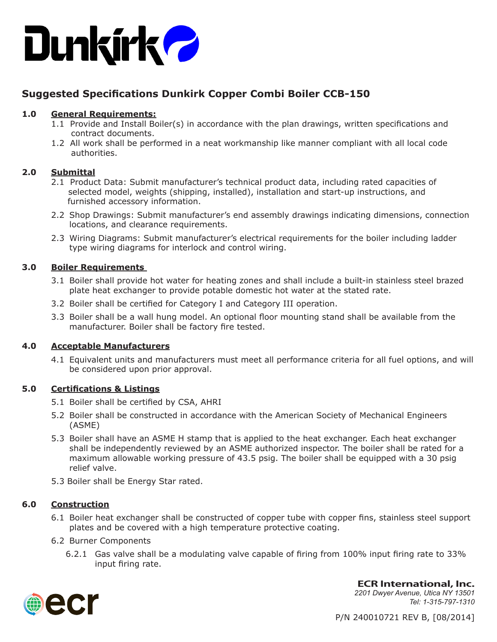

# **Suggested Specifications Dunkirk Copper Combi Boiler CCB-150**

# **1.0 General Requirements:**

- 1.1 Provide and Install Boiler(s) in accordance with the plan drawings, written specifications and contract documents.
- 1.2 All work shall be performed in a neat workmanship like manner compliant with all local code authorities.

# **2.0 Submittal**

- 2.1 Product Data: Submit manufacturer's technical product data, including rated capacities of selected model, weights (shipping, installed), installation and start-up instructions, and furnished accessory information.
- 2.2 Shop Drawings: Submit manufacturer's end assembly drawings indicating dimensions, connection locations, and clearance requirements.
- 2.3 Wiring Diagrams: Submit manufacturer's electrical requirements for the boiler including ladder type wiring diagrams for interlock and control wiring.

# **3.0 Boiler Requirements**

- 3.1 Boiler shall provide hot water for heating zones and shall include a built-in stainless steel brazed plate heat exchanger to provide potable domestic hot water at the stated rate.
- 3.2 Boiler shall be certified for Category I and Category III operation.
- 3.3 Boiler shall be a wall hung model. An optional floor mounting stand shall be available from the manufacturer. Boiler shall be factory fire tested.

# **4.0 Acceptable Manufacturers**

4.1 Equivalent units and manufacturers must meet all performance criteria for all fuel options, and will be considered upon prior approval.

# **5.0 Certifications & Listings**

- 5.1 Boiler shall be certified by CSA, AHRI
- 5.2 Boiler shall be constructed in accordance with the American Society of Mechanical Engineers (ASME)
- 5.3 Boiler shall have an ASME H stamp that is applied to the heat exchanger. Each heat exchanger shall be independently reviewed by an ASME authorized inspector. The boiler shall be rated for a maximum allowable working pressure of 43.5 psig. The boiler shall be equipped with a 30 psig relief valve.
- 5.3 Boiler shall be Energy Star rated.

# **6.0 Construction**

- 6.1 Boiler heat exchanger shall be constructed of copper tube with copper fins, stainless steel support plates and be covered with a high temperature protective coating.
- 6.2 Burner Components
	- 6.2.1 Gas valve shall be a modulating valve capable of firing from 100% input firing rate to 33% input firing rate.



**ECR International, Inc.** *2201 Dwyer Avenue, Utica NY 13501 Tel: 1-315-797-1310*

P/N 240010721 REV B, [08/2014]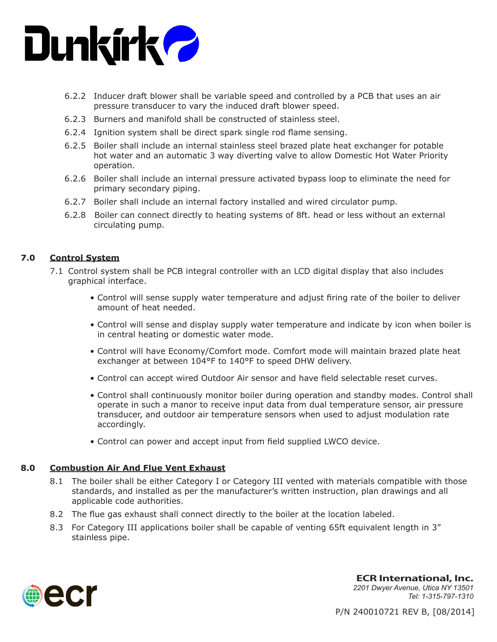

- 6.2.2 Inducer draft blower shall be variable speed and controlled by a PCB that uses an air pressure transducer to vary the induced draft blower speed.
- 6.2.3 Burners and manifold shall be constructed of stainless steel.
- 6.2.4 Ignition system shall be direct spark single rod flame sensing.
- 6.2.5 Boiler shall include an internal stainless steel brazed plate heat exchanger for potable hot water and an automatic 3 way diverting valve to allow Domestic Hot Water Priority operation.
- 6.2.6 Boiler shall include an internal pressure activated bypass loop to eliminate the need for primary secondary piping.
- 6.2.7 Boiler shall include an internal factory installed and wired circulator pump.
- 6.2.8 Boiler can connect directly to heating systems of 8ft. head or less without an external circulating pump.

#### **7.0 Control System**

- 7.1 Control system shall be PCB integral controller with an LCD digital display that also includes graphical interface.
	- Control will sense supply water temperature and adjust firing rate of the boiler to deliver amount of heat needed.
	- Control will sense and display supply water temperature and indicate by icon when boiler is in central heating or domestic water mode.
	- Control will have Economy/Comfort mode. Comfort mode will maintain brazed plate heat exchanger at between 104°F to 140°F to speed DHW delivery.
	- Control can accept wired Outdoor Air sensor and have field selectable reset curves.
	- Control shall continuously monitor boiler during operation and standby modes. Control shall operate in such a manor to receive input data from dual temperature sensor, air pressure transducer, and outdoor air temperature sensors when used to adjust modulation rate accordingly.
	- Control can power and accept input from field supplied LWCO device.

# **8.0 Combustion Air And Flue Vent Exhaust**

- 8.1 The boiler shall be either Category I or Category III vented with materials compatible with those standards, and installed as per the manufacturer's written instruction, plan drawings and all applicable code authorities.
- 8.2 The flue gas exhaust shall connect directly to the boiler at the location labeled.
- 8.3 For Category III applications boiler shall be capable of venting 65ft equivalent length in 3" stainless pipe.



**ECR International, Inc.** *2201 Dwyer Avenue, Utica NY 13501 Tel: 1-315-797-1310*

P/N 240010721 REV B, [08/2014]